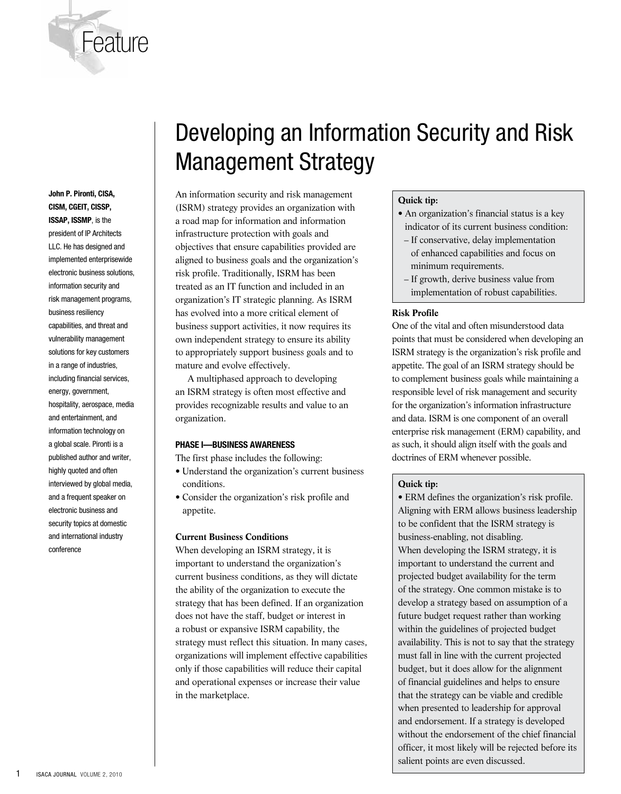

**John P. Pironti, CISA, CISM, CGEIT, CISSP, ISSAP, ISSMP**, is the

president of IP Architects LLC. He has designed and implemented enterprisewide electronic business solutions, information security and risk management programs, business resiliency capabilities, and threat and vulnerability management solutions for key customers in a range of industries, including financial services, energy, government, hospitality, aerospace, media and entertainment, and information technology on a global scale. Pironti is a published author and writer, highly quoted and often interviewed by global media, and a frequent speaker on electronic business and security topics at domestic and international industry conference

# Developing an Information Security and Risk Management Strategy

An information security and risk management (ISRM) strategy provides an organization with a road map for information and information infrastructure protection with goals and objectives that ensure capabilities provided are aligned to business goals and the organization's risk profile. Traditionally, ISRM has been treated as an IT function and included in an organization's IT strategic planning. As ISRM has evolved into a more critical element of business support activities, it now requires its own independent strategy to ensure its ability to appropriately support business goals and to mature and evolve effectively.

A multiphased approach to developing an ISRM strategy is often most effective and provides recognizable results and value to an organization.

## **Phase I—Business Awareness**

The first phase includes the following:

- Understand the organization's current business conditions.
- Consider the organization's risk profile and appetite.

#### **Current Business Conditions**

When developing an ISRM strategy, it is important to understand the organization's current business conditions, as they will dictate the ability of the organization to execute the strategy that has been defined. If an organization does not have the staff, budget or interest in a robust or expansive ISRM capability, the strategy must reflect this situation. In many cases, organizations will implement effective capabilities only if those capabilities will reduce their capital and operational expenses or increase their value in the marketplace.

# **Quick tip:**

- An organization's financial status is a key indicator of its current business condition:
- If conservative, delay implementation of enhanced capabilities and focus on minimum requirements.
- If growth, derive business value from implementation of robust capabilities.

#### **Risk Profile**

One of the vital and often misunderstood data points that must be considered when developing an ISRM strategy is the organization's risk profile and appetite. The goal of an ISRM strategy should be to complement business goals while maintaining a responsible level of risk management and security for the organization's information infrastructure and data. ISRM is one component of an overall enterprise risk management (ERM) capability, and as such, it should align itself with the goals and doctrines of ERM whenever possible.

#### **Quick tip:**

• ERM defines the organization's risk profile. Aligning with ERM allows business leadership to be confident that the ISRM strategy is business-enabling, not disabling. When developing the ISRM strategy, it is important to understand the current and projected budget availability for the term of the strategy. One common mistake is to develop a strategy based on assumption of a future budget request rather than working within the guidelines of projected budget availability. This is not to say that the strategy must fall in line with the current projected budget, but it does allow for the alignment of financial guidelines and helps to ensure that the strategy can be viable and credible when presented to leadership for approval and endorsement. If a strategy is developed without the endorsement of the chief financial officer, it most likely will be rejected before its salient points are even discussed.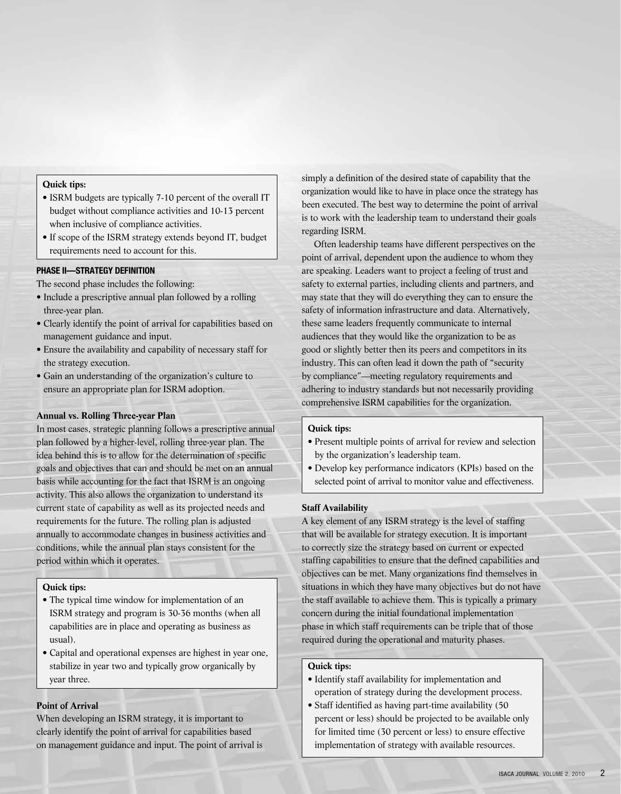#### **Quick tips:**

- ISRM budgets are typically 7-10 percent of the overall IT budget without compliance activities and 10-13 percent when inclusive of compliance activities.
- If scope of the ISRM strategy extends beyond IT, budget requirements need to account for this.

## **Phase Ii—Strategy Definition**

The second phase includes the following:

- Include a prescriptive annual plan followed by a rolling three-year plan.
- Clearly identify the point of arrival for capabilities based on management guidance and input.
- Ensure the availability and capability of necessary staff for the strategy execution.
- Gain an understanding of the organization's culture to ensure an appropriate plan for ISRM adoption.

# **Annual vs. Rolling Three-year Plan**

In most cases, strategic planning follows a prescriptive annual plan followed by a higher-level, rolling three-year plan. The idea behind this is to allow for the determination of specific goals and objectives that can and should be met on an annual basis while accounting for the fact that ISRM is an ongoing activity. This also allows the organization to understand its current state of capability as well as its projected needs and requirements for the future. The rolling plan is adjusted annually to accommodate changes in business activities and conditions, while the annual plan stays consistent for the period within which it operates.

# **Quick tips:**

- The typical time window for implementation of an ISRM strategy and program is 30-36 months (when all capabilities are in place and operating as business as usual).
- Capital and operational expenses are highest in year one, stabilize in year two and typically grow organically by year three.

# **Point of Arrival**

When developing an ISRM strategy, it is important to clearly identify the point of arrival for capabilities based on management guidance and input. The point of arrival is simply a definition of the desired state of capability that the organization would like to have in place once the strategy has been executed. The best way to determine the point of arrival is to work with the leadership team to understand their goals regarding ISRM.

Often leadership teams have different perspectives on the point of arrival, dependent upon the audience to whom they are speaking. Leaders want to project a feeling of trust and safety to external parties, including clients and partners, and may state that they will do everything they can to ensure the safety of information infrastructure and data. Alternatively, these same leaders frequently communicate to internal audiences that they would like the organization to be as good or slightly better then its peers and competitors in its industry. This can often lead it down the path of "security by compliance"—meeting regulatory requirements and adhering to industry standards but not necessarily providing comprehensive ISRM capabilities for the organization.

# **Quick tips:**

- Present multiple points of arrival for review and selection by the organization's leadership team.
- Develop key performance indicators (KPIs) based on the selected point of arrival to monitor value and effectiveness.

#### **Staff Availability**

A key element of any ISRM strategy is the level of staffing that will be available for strategy execution. It is important to correctly size the strategy based on current or expected staffing capabilities to ensure that the defined capabilities and objectives can be met. Many organizations find themselves in situations in which they have many objectives but do not have the staff available to achieve them. This is typically a primary concern during the initial foundational implementation phase in which staff requirements can be triple that of those required during the operational and maturity phases.

# **Quick tips:**

- Identify staff availability for implementation and operation of strategy during the development process.
- Staff identified as having part-time availability (50 percent or less) should be projected to be available only for limited time (30 percent or less) to ensure effective implementation of strategy with available resources.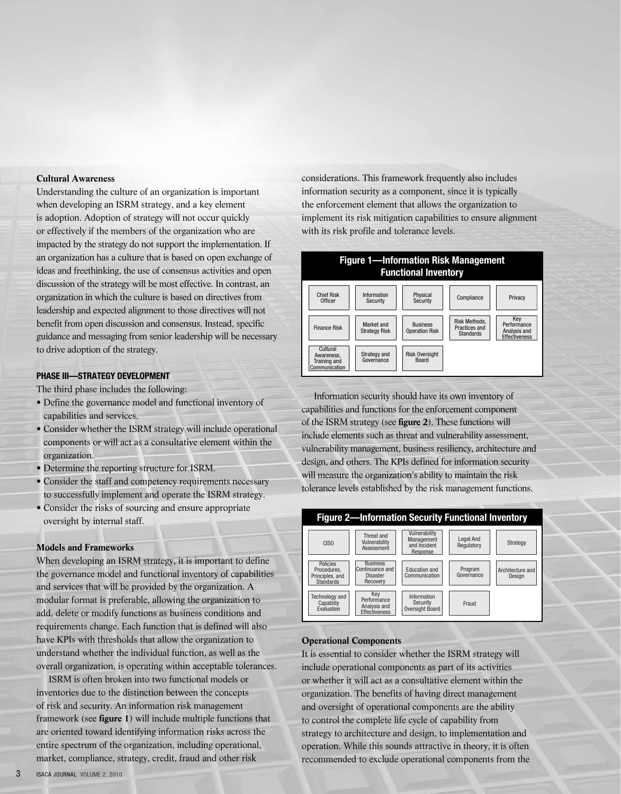# **Cultural Awareness**

Understanding the culture of an organization is important when developing an ISRM strategy, and a key element is adoption. Adoption of strategy will not occur quickly or effectively if the members of the organization who are impacted by the strategy do not support the implementation. If an organization has a culture that is based on open exchange of ideas and freethinking, the use of consensus activities and open discussion of the strategy will be most effective. In contrast, an organization in which the culture is based on directives from leadership and expected alignment to those directives will not benefit from open discussion and consensus. Instead, specific guidance and messaging from senior leadership will be necessary to drive adoption of the strategy.

# **Phase III—Strategy Development**

The third phase includes the following:

- Define the governance model and functional inventory of capabilities and services.
- Consider whether the ISRM strategy will include operational components or will act as a consultative element within the organization.
- Determine the reporting structure for ISRM.
- Consider the staff and competency requirements necessary to successfully implement and operate the ISRM strategy.
- Consider the risks of sourcing and ensure appropriate oversight by internal staff.

#### **Models and Frameworks**

When developing an ISRM strategy, it is important to define the governance model and functional inventory of capabilities and services that will be provided by the organization. A modular format is preferable, allowing the organization to add, delete or modify functions as business conditions and requirements change. Each function that is defined will also have KPIs with thresholds that allow the organization to understand whether the individual function, as well as the overall organization, is operating within acceptable tolerances.

ISRM is often broken into two functional models or inventories due to the distinction between the concepts of risk and security. An information risk management framework (see **figure 1**) will include multiple functions that are oriented toward identifying information risks across the entire spectrum of the organization, including operational, market, compliance, strategy, credit, fraud and other risk

considerations. This framework frequently also includes information security as a component, since it is typically the enforcement element that allows the organization to implement its risk mitigation capabilities to ensure alignment with its risk profile and tolerance levels.



Information security should have its own inventory of capabilities and functions for the enforcement component of the ISRM strategy (see **figure 2**). These functions will include elements such as threat and vulnerability assessment, vulnerability management, business resiliency, architecture and design, and others. The KPIs defined for information security will measure the organization's ability to maintain the risk tolerance levels established by the risk management functions.



## **Operational Components**

It is essential to consider whether the ISRM strategy will include operational components as part of its activities or whether it will act as a consultative element within the organization. The benefits of having direct management and oversight of operational components are the ability to control the complete life cycle of capability from strategy to architecture and design, to implementation and operation. While this sounds attractive in theory, it is often recommended to exclude operational components from the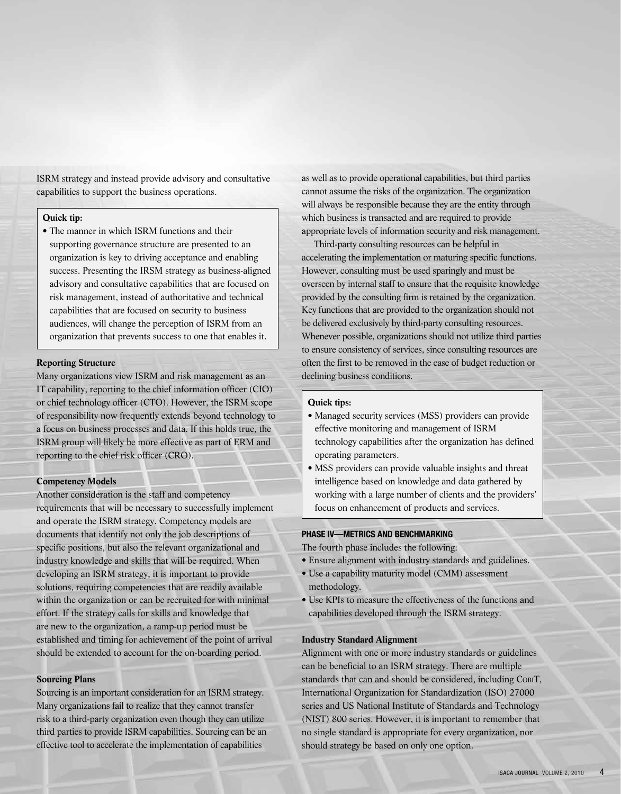ISRM strategy and instead provide advisory and consultative capabilities to support the business operations.

# **Quick tip:**

• The manner in which ISRM functions and their supporting governance structure are presented to an organization is key to driving acceptance and enabling success. Presenting the IRSM strategy as business-aligned advisory and consultative capabilities that are focused on risk management, instead of authoritative and technical capabilities that are focused on security to business audiences, will change the perception of ISRM from an organization that prevents success to one that enables it.

#### **Reporting Structure**

Many organizations view ISRM and risk management as an IT capability, reporting to the chief information officer (CIO) or chief technology officer (CTO). However, the ISRM scope of responsibility now frequently extends beyond technology to a focus on business processes and data. If this holds true, the ISRM group will likely be more effective as part of ERM and reporting to the chief risk officer (CRO).

## **Competency Models**

Another consideration is the staff and competency requirements that will be necessary to successfully implement and operate the ISRM strategy. Competency models are documents that identify not only the job descriptions of specific positions, but also the relevant organizational and industry knowledge and skills that will be required. When developing an ISRM strategy, it is important to provide solutions, requiring competencies that are readily available within the organization or can be recruited for with minimal effort. If the strategy calls for skills and knowledge that are new to the organization, a ramp-up period must be established and timing for achievement of the point of arrival should be extended to account for the on-boarding period.

#### **Sourcing Plans**

Sourcing is an important consideration for an ISRM strategy. Many organizations fail to realize that they cannot transfer risk to a third-party organization even though they can utilize third parties to provide ISRM capabilities. Sourcing can be an effective tool to accelerate the implementation of capabilities

as well as to provide operational capabilities, but third parties cannot assume the risks of the organization. The organization will always be responsible because they are the entity through which business is transacted and are required to provide appropriate levels of information security and risk management.

Third-party consulting resources can be helpful in accelerating the implementation or maturing specific functions. However, consulting must be used sparingly and must be overseen by internal staff to ensure that the requisite knowledge provided by the consulting firm is retained by the organization. Key functions that are provided to the organization should not be delivered exclusively by third-party consulting resources. Whenever possible, organizations should not utilize third parties to ensure consistency of services, since consulting resources are often the first to be removed in the case of budget reduction or declining business conditions.

## **Quick tips:**

- Managed security services (MSS) providers can provide effective monitoring and management of ISRM technology capabilities after the organization has defined operating parameters.
- MSS providers can provide valuable insights and threat intelligence based on knowledge and data gathered by working with a large number of clients and the providers' focus on enhancement of products and services.

# **Phase Iv—Metrics And Benchmarking**

The fourth phase includes the following:

- Ensure alignment with industry standards and guidelines.
- Use a capability maturity model (CMM) assessment methodology.
- Use KPIs to measure the effectiveness of the functions and capabilities developed through the ISRM strategy.

## **Industry Standard Alignment**

Alignment with one or more industry standards or guidelines can be beneficial to an ISRM strategy. There are multiple standards that can and should be considered, including CobiT, International Organization for Standardization (ISO) 27000 series and US National Institute of Standards and Technology (NIST) 800 series. However, it is important to remember that no single standard is appropriate for every organization, nor should strategy be based on only one option.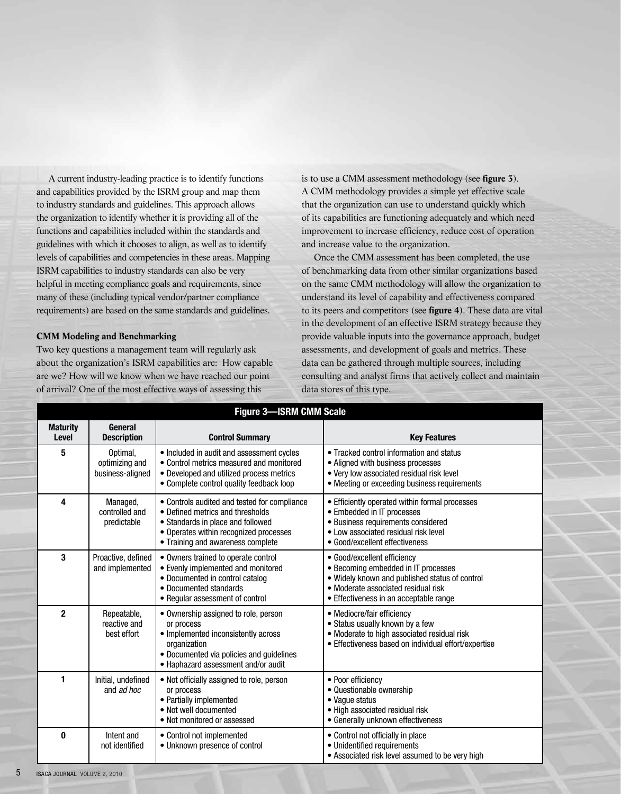A current industry-leading practice is to identify functions and capabilities provided by the ISRM group and map them to industry standards and guidelines. This approach allows the organization to identify whether it is providing all of the functions and capabilities included within the standards and guidelines with which it chooses to align, as well as to identify levels of capabilities and competencies in these areas. Mapping ISRM capabilities to industry standards can also be very helpful in meeting compliance goals and requirements, since many of these (including typical vendor/partner compliance requirements) are based on the same standards and guidelines.

# **CMM Modeling and Benchmarking**

Two key questions a management team will regularly ask about the organization's ISRM capabilities are: How capable are we? How will we know when we have reached our point of arrival? One of the most effective ways of assessing this

is to use a CMM assessment methodology (see **figure 3**). A CMM methodology provides a simple yet effective scale that the organization can use to understand quickly which of its capabilities are functioning adequately and which need improvement to increase efficiency, reduce cost of operation and increase value to the organization.

Once the CMM assessment has been completed, the use of benchmarking data from other similar organizations based on the same CMM methodology will allow the organization to understand its level of capability and effectiveness compared to its peers and competitors (see **figure 4**). These data are vital in the development of an effective ISRM strategy because they provide valuable inputs into the governance approach, budget assessments, and development of goals and metrics. These data can be gathered through multiple sources, including consulting and analyst firms that actively collect and maintain data stores of this type.

| <b>Figure 3-ISRM CMM Scale</b> |                                                |                                                                                                                                                                                                      |                                                                                                                                                                                                       |  |
|--------------------------------|------------------------------------------------|------------------------------------------------------------------------------------------------------------------------------------------------------------------------------------------------------|-------------------------------------------------------------------------------------------------------------------------------------------------------------------------------------------------------|--|
| <b>Maturity</b><br>Level       | General<br><b>Description</b>                  | <b>Control Summary</b>                                                                                                                                                                               | <b>Key Features</b>                                                                                                                                                                                   |  |
| 5                              | Optimal,<br>optimizing and<br>business-aligned | • Included in audit and assessment cycles<br>• Control metrics measured and monitored<br>• Developed and utilized process metrics<br>• Complete control quality feedback loop                        | • Tracked control information and status<br>• Aligned with business processes<br>. Very low associated residual risk level<br>• Meeting or exceeding business requirements                            |  |
| 4                              | Managed,<br>controlled and<br>predictable      | • Controls audited and tested for compliance<br>• Defined metrics and thresholds<br>• Standards in place and followed<br>• Operates within recognized processes<br>• Training and awareness complete | • Efficiently operated within formal processes<br>• Embedded in IT processes<br>• Business requirements considered<br>• Low associated residual risk level<br>• Good/excellent effectiveness          |  |
| 3                              | Proactive, defined<br>and implemented          | • Owners trained to operate control<br>• Evenly implemented and monitored<br>• Documented in control catalog<br>• Documented standards<br>• Regular assessment of control                            | • Good/excellent efficiency<br>• Becoming embedded in IT processes<br>. Widely known and published status of control<br>• Moderate associated residual risk<br>• Effectiveness in an acceptable range |  |
| $\overline{2}$                 | Repeatable,<br>reactive and<br>best effort     | • Ownership assigned to role, person<br>or process<br>• Implemented inconsistently across<br>organization<br>• Documented via policies and guidelines<br>• Haphazard assessment and/or audit         | • Mediocre/fair efficiency<br>• Status usually known by a few<br>• Moderate to high associated residual risk<br>• Effectiveness based on individual effort/expertise                                  |  |
| 1                              | Initial, undefined<br>and ad hoc               | • Not officially assigned to role, person<br>or process<br>• Partially implemented<br>• Not well documented<br>• Not monitored or assessed                                                           | • Poor efficiency<br>• Questionable ownership<br>• Vague status<br>• High associated residual risk<br>• Generally unknown effectiveness                                                               |  |
| 0                              | Intent and<br>not identified                   | • Control not implemented<br>• Unknown presence of control                                                                                                                                           | • Control not officially in place<br>• Unidentified requirements<br>• Associated risk level assumed to be very high                                                                                   |  |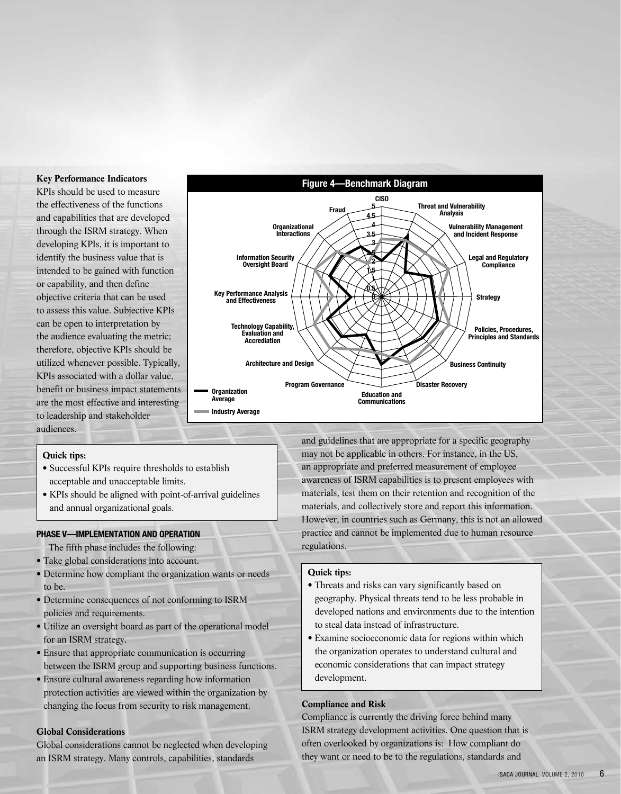#### **Key Performance Indicators**

KPIs should be used to measure the effectiveness of the functions and capabilities that are developed through the ISRM strategy. When developing KPIs, it is important to identify the business value that is intended to be gained with function or capability, and then define objective criteria that can be used to assess this value. Subjective KPIs can be open to interpretation by the audience evaluating the metric; therefore, objective KPIs should be utilized whenever possible. Typically, KPIs associated with a dollar value, benefit or business impact statements are the most effective and interesting to leadership and stakeholder audiences.



#### **Quick tips:**

- Successful KPIs require thresholds to establish acceptable and unacceptable limits.
- KPIs should be aligned with point-of-arrival guidelines and annual organizational goals.

#### **Phase V—Implementation And Operation**

- The fifth phase includes the following:
- Take global considerations into account.
- Determine how compliant the organization wants or needs to be.
- Determine consequences of not conforming to ISRM policies and requirements.
- Utilize an oversight board as part of the operational model for an ISRM strategy.
- Ensure that appropriate communication is occurring between the ISRM group and supporting business functions.
- Ensure cultural awareness regarding how information protection activities are viewed within the organization by changing the focus from security to risk management.

# **Global Considerations**

Global considerations cannot be neglected when developing an ISRM strategy. Many controls, capabilities, standards

and guidelines that are appropriate for a specific geography may not be applicable in others. For instance, in the US, an appropriate and preferred measurement of employee awareness of ISRM capabilities is to present employees with materials, test them on their retention and recognition of the materials, and collectively store and report this information. However, in countries such as Germany, this is not an allowed practice and cannot be implemented due to human resource regulations.

#### **Quick tips:**

- Threats and risks can vary significantly based on geography. Physical threats tend to be less probable in developed nations and environments due to the intention to steal data instead of infrastructure.
- Examine socioeconomic data for regions within which the organization operates to understand cultural and economic considerations that can impact strategy development.

# **Compliance and Risk**

Compliance is currently the driving force behind many ISRM strategy development activities. One question that is often overlooked by organizations is: How compliant do they want or need to be to the regulations, standards and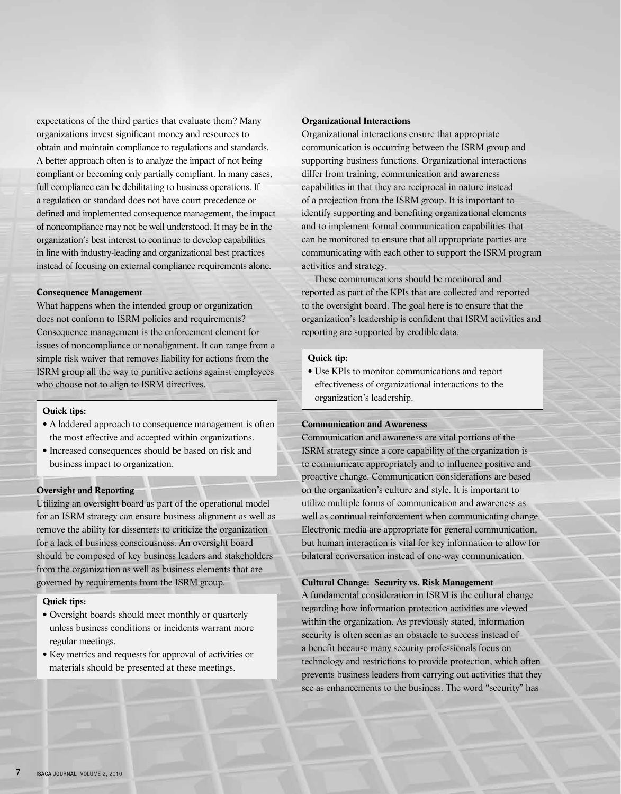expectations of the third parties that evaluate them? Many organizations invest significant money and resources to obtain and maintain compliance to regulations and standards. A better approach often is to analyze the impact of not being compliant or becoming only partially compliant. In many cases, full compliance can be debilitating to business operations. If a regulation or standard does not have court precedence or defined and implemented consequence management, the impact of noncompliance may not be well understood. It may be in the organization's best interest to continue to develop capabilities in line with industry-leading and organizational best practices instead of focusing on external compliance requirements alone.

#### **Consequence Management**

What happens when the intended group or organization does not conform to ISRM policies and requirements? Consequence management is the enforcement element for issues of noncompliance or nonalignment. It can range from a simple risk waiver that removes liability for actions from the ISRM group all the way to punitive actions against employees who choose not to align to ISRM directives.

# **Quick tips:**

- A laddered approach to consequence management is often the most effective and accepted within organizations.
- Increased consequences should be based on risk and business impact to organization.

# **Oversight and Reporting**

Utilizing an oversight board as part of the operational model for an ISRM strategy can ensure business alignment as well as remove the ability for dissenters to criticize the organization for a lack of business consciousness. An oversight board should be composed of key business leaders and stakeholders from the organization as well as business elements that are governed by requirements from the ISRM group.

#### **Quick tips:**

- Oversight boards should meet monthly or quarterly unless business conditions or incidents warrant more regular meetings.
- Key metrics and requests for approval of activities or materials should be presented at these meetings.

#### **Organizational Interactions**

Organizational interactions ensure that appropriate communication is occurring between the ISRM group and supporting business functions. Organizational interactions differ from training, communication and awareness capabilities in that they are reciprocal in nature instead of a projection from the ISRM group. It is important to identify supporting and benefiting organizational elements and to implement formal communication capabilities that can be monitored to ensure that all appropriate parties are communicating with each other to support the ISRM program activities and strategy.

These communications should be monitored and reported as part of the KPIs that are collected and reported to the oversight board. The goal here is to ensure that the organization's leadership is confident that ISRM activities and reporting are supported by credible data.

#### **Quick tip:**

• Use KPIs to monitor communications and report effectiveness of organizational interactions to the organization's leadership.

# **Communication and Awareness**

Communication and awareness are vital portions of the ISRM strategy since a core capability of the organization is to communicate appropriately and to influence positive and proactive change. Communication considerations are based on the organization's culture and style. It is important to utilize multiple forms of communication and awareness as well as continual reinforcement when communicating change. Electronic media are appropriate for general communication, but human interaction is vital for key information to allow for bilateral conversation instead of one-way communication.

#### **Cultural Change: Security vs. Risk Management**

A fundamental consideration in ISRM is the cultural change regarding how information protection activities are viewed within the organization. As previously stated, information security is often seen as an obstacle to success instead of a benefit because many security professionals focus on technology and restrictions to provide protection, which often prevents business leaders from carrying out activities that they see as enhancements to the business. The word "security" has